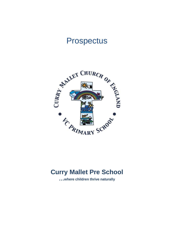# Prospectus



# **Curry Mallet Pre School**

**…where children thrive naturally**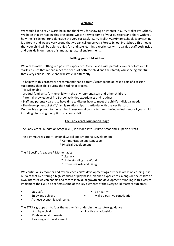#### **Welcome**

We would like to say a warm hello and thank you for showing an interest in Curry Mallet Pre-School. We hope that by reading this prospectus we can answer some of your questions and share with you how the Pre School runs alongside the very successful Curry Mallet VC Primary School. Every setting is different and we are very proud that we can call ourselves a Forest School Pre-School. This means that your child will be able to enjoy fun and safe learning experiences with qualified staff both inside and outside in our range of stimulating natural environments.

## **Settling your child with us**

We aim to make settling in a positive experience. Close liaison with parents / carers before a child starts ensures that we can meet the needs of both the child and their family whilst being mindful that every child is unique and will settle in differently.

To help with this process we recommend that a parent / carer spend at least a part of a session supporting their child during the settling in process.

This will enable -

- Gradual familiarity for the child with the environment, staff and other children.

- Parental knowledge of Pre School activities experiences and routines

- Staff and parents / carers to have time to discuss how to meet the child's individual needs

- The development of staff / family relationships in particular with the Key Person.

Our flexible approach to the settling in sessions allows us to meet the individual needs of your child including discussing the option of a home visit

# **The Early Years Foundation Stage**

The Early Years Foundation Stage (EYFS) is divided into 3 Prime Areas and 4 Specific Areas

The 3 Prime Areas are \* Personal, Social and Emotional Development

- \* Communication and Language
- \* Physical Development

The 4 Specific Areas are \* Mathematics

- \* Literacy
- \* Understanding the World
- \* Expressive Arts and Design.

We continuously monitor and review each child's development against these areas of learning. It is our aim that by offering a high standard of play based, planned experiences, alongside the children's own interests we can enable and record individual growth and development. Working in this way to implement the EYFS also reflects some of the key elements of the Every Child Matters outcomes -

- 
- Stay safe **but a state •** Be healthy
- Enjoy and achieve Make a positive contribution
- 
- Achieve economic well-being.

The EYFS is grouped into four themes, which underpin the statutory guidance

- - A unique child Positive relationships
- Enabling environments
- Learning and development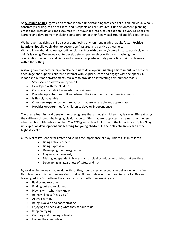As **A Unique Child** suggests, this theme is about understanding that each child is an individual who is constantly learning, can be resilient, and is capable and self-assured. Our environment, planning, practitioner interactions and resources will always take into account each child's varying needs for learning and development including consideration of their family background and life experiences.

We believe that giving a child a secure and loving environment in which adults foster **Positive Relationships** allows children to become self-assured and positive as learners. We also know that developing credible relationships with parents / carers impacts positively on a child's learning. We endeavour to develop strong partnerships with parents valuing their contributions, opinions and views and where appropriate actively promoting their involvement within the setting.

A strong parental partnership can also help us to develop our **Enabling Environment.** We actively encourage and support children to interact with, explore, learn and engage with their peers in indoor and outdoor environments. We aim to provide an interesting environment that is:

- Safe, secure and welcoming for all
- Developed with the children
- Considers the individual needs of all children
- Provides opportunities to flow between the indoor and outdoor environments
- Is flexibly adaptable
- Offer new experiences with resources that are accessible and appropriate
- Provides opportunities for children to develop independence

The theme **Learning and development** recognises that although children may learn in different ways they all learn through challenging playful opportunities that are supported by trained practitioners whether child initiated or adult led. The EYFS gives a clear indication of the importance of play **"Play underpins all development and learning for young children. In their play children learn at the highest level."** 

Curry Mallet Pre-school facilitates and values the importance of play. This results in children

- Being active learners
- Being expressive
- Developing their imagination
- Playing spontaneously
- Making independent choices such as playing indoors or outdoors at any time
- Developing an awareness of safety and risk

By working in the way that we do, with routine, boundaries for acceptable behaviour with a fun, flexible approach to learning we aim to help children to develop the characteristics for lifelong learning. At Pre School level the characteristics of effective learning are

- Playing and exploring
- Finding out and exploring
- Playing with what they know
- Being willing to 'have a go '
- Active Learning
- Being involved and concentrating
- Enjoying and achieving what they set out to do
- Keep on trying
- Creating and thinking critically
- Having their own ideas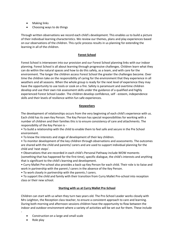- Making links
- Choosing ways to do things

Through written observations we record each child's development. This enables us to build a picture of their individual learning characteristics. We review our themes, plans and play experiences based on our observations of the children. This cyclic process results in us planning for extending the learning in all of the children.

#### **Forest School**

Forest School is interwoven into our provision and our Forest School planning links with our indoor planning. Forest School is all about learning through progressive challenges. Children learn what they can do within the natural spaces and how to do this safely, as a team, and with care for the environment. The longer the children access Forest School the greater the challenges become. Over time the children take on the responsibility of caring for the environment that they experience in all weathers and all seasons. When the whole group is ready for the next level of experience they may have the opportunity to use tools or cook on a fire. Safety is paramount and overtime children develop and use their own risk assessment skills under the guidance of a qualified and highly experienced Forest School Leader. The children develop confidence, self - esteem, independence skills and their levels of resilience within fun safe experiences.

#### **Keyworkers**

The development of relationships occurs from the very beginning of each child's experience with us. Each child has its own Key Person. The Key Person has special responsibilities for working with a number of children and their families this is to ensure consistency of care and attachments. The responsibility of the Key Person is -

• To build a relationship with the child to enable them to feel safe and secure in the Pre School environment.

• To know the interests and stage of development of their key children.

• To monitor development of the key children through observations and assessments. The outcomes are shared with the child and parents/ carers and are used to support individual planning for the child and 'next steps'.

• Observations that are recorded in each child's Personal Pathway include WOW moments (something that has happened for the first time), specific dialogue, the child's interests and anything that is significant to the child's learning and development.

• Curry Mallet Pre-school also provides a back-up Key Person for each child. Their role is to liaise and work in partnership with the parent / carers in the absence of the Key Person.

• To work closely in partnership with the parents / carers.

• To support the child and family with their transition from Curry Mallet Pre-school into reception class or their new school.

#### **Starting with us at Curry Mallet Pre-School**

Children can start with us when they turn two years old. The Pre-School Leader works closely with Mrs Leighton, the Reception class teacher, to ensure a consistent approach to care and learning. During both morning and afternoon sessions children have the opportunity to flow between the indoor and outdoor environment where a variety of activities will be set out for them. These include

- Construction on a large and small scale
- Role play

-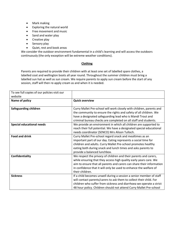- Mark making
- Exploring the natural world
- Free movement and music
- Sand and water play
- Creative play
- Sensory play
- Quiet, rest and book areas

We consider the outdoor environment fundamental in a child's learning and will access the outdoors continuously (the only exception will be extreme weather conditions).

# **Clothing**

Parents are required to provide their children with at least one set of labelled spare clothes, a labelled coat and wellington boots all year round. Throughout the summer children must bring a labelled sun hat as well as sun cream. We require parents to apply sun cream before the start of any session, staff will then re-apply cream as and when it is needed.

| To see full copies of our policies visit our<br>website |                                                                                                                                                                                                                                                                                                        |
|---------------------------------------------------------|--------------------------------------------------------------------------------------------------------------------------------------------------------------------------------------------------------------------------------------------------------------------------------------------------------|
| Name of policy                                          | <b>Quick overview</b>                                                                                                                                                                                                                                                                                  |
| <b>Safeguarding children</b>                            | Curry Mallet Pre-school will work closely with children, parents and<br>the community to ensure the rights and safety of all children. We<br>have a designated safeguarding lead who is Mandi Trout and<br>criminal bureau checks are completed on all staff and students.                             |
| <b>Special educational needs</b>                        | We provide an environment in which all children are supported to<br>reach their full potential. We have a designated special educational<br>needs coordinator (SENCO) Mrs Alison Tulloch.                                                                                                              |
| <b>Food and drink</b>                                   | Curry Mallet Pre-school regard snack and mealtimes as an<br>important part of our day. Eating represents a social time for<br>children and adults. Curry Mallet Pre-school promotes healthy<br>eating both during snack and lunch times and asks parents to<br>provide a balanced lunchbox.            |
| Confidentiality                                         | We respect the privacy of children and their parents and carers,<br>while ensuring that they access high quality early years care. We<br>aim to ensure that all parents and carers can share their information<br>in confidence that it will only be used to enhance the welfare of<br>their children. |
| <b>Sickness</b>                                         | If a child becomes unwell during a session a senior member of staff<br>will contact parents/carers to ask them to collect their child. For<br>children who suffer from sickness and diarrhoea we operate a strict<br>48 hour policy. Children should not attend Curry Mallet Pre-school                |